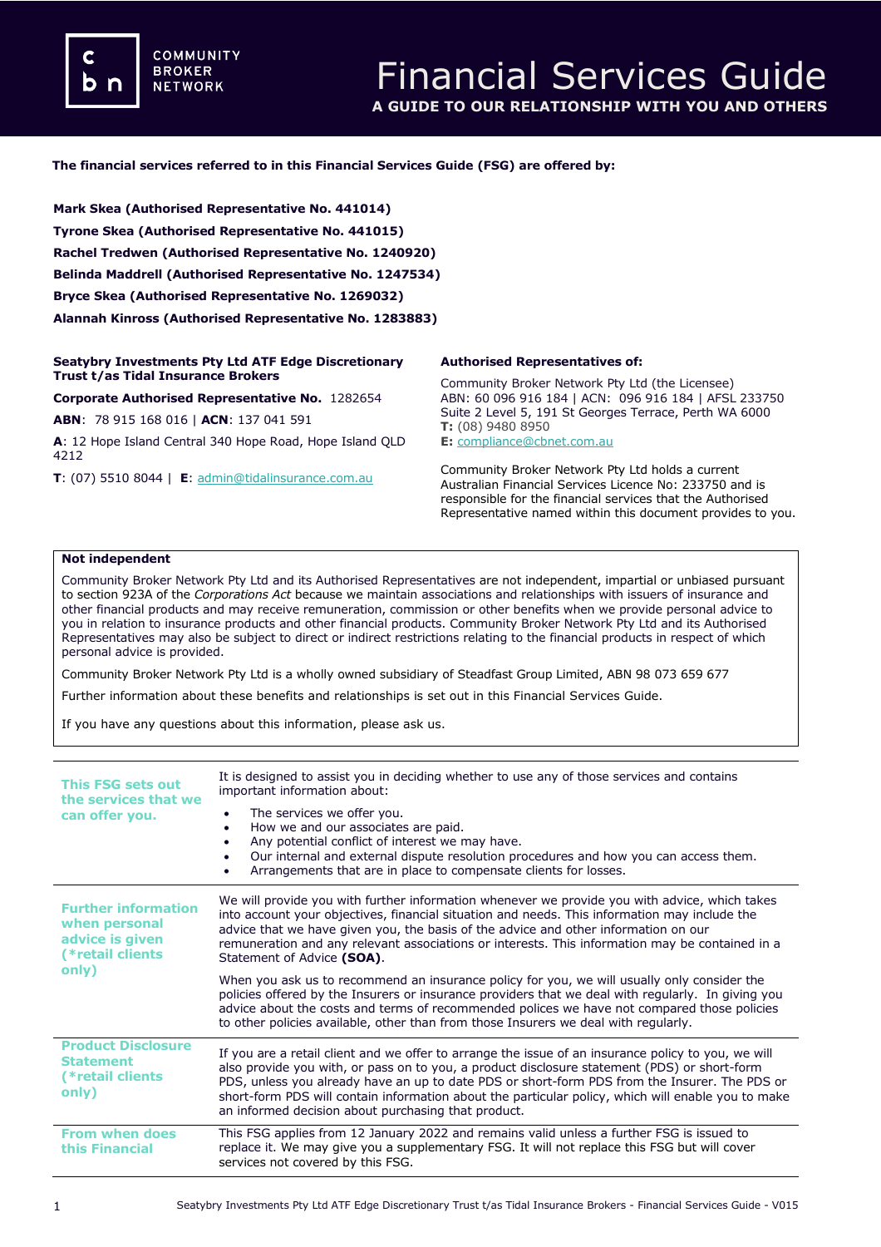**COMMUNITY BROKER NETWORK** 

## **The financial services referred to in this Financial Services Guide (FSG) are offered by:**

**Mark Skea (Authorised Representative No. 441014) Tyrone Skea (Authorised Representative No. 441015) Rachel Tredwen (Authorised Representative No. 1240920) Belinda Maddrell (Authorised Representative No. 1247534) Bryce Skea (Authorised Representative No. 1269032) Alannah Kinross (Authorised Representative No. 1283883)**

#### **Seatybry Investments Pty Ltd ATF Edge Discretionary Trust t/as Tidal Insurance Brokers**

**Corporate Authorised Representative No.** 1282654

**ABN**: 78 915 168 016 | **ACN**: 137 041 591

**A**: 12 Hope Island Central 340 Hope Road, Hope Island QLD 4212

**T**: (07) 5510 8044 | **E**: [admin@tidalinsurance.com.au](mailto:admin@tidalinsurance.com.au)

### **Authorised Representatives of:**

Community Broker Network Pty Ltd (the Licensee) ABN: 60 096 916 184 | ACN: 096 916 184 | AFSL 233750 Suite 2 Level 5, 191 St Georges Terrace, Perth WA 6000 **T:** (08) 9480 8950 **E:** [compliance@cbnet.com.au](mailto:queries@naswg.com.au) 

Community Broker Network Pty Ltd holds a current Australian Financial Services Licence No: 233750 and is responsible for the financial services that the Authorised Representative named within this document provides to you.

# **Not independent**

Community Broker Network Pty Ltd and its Authorised Representatives are not independent, impartial or unbiased pursuant to section 923A of the *Corporations Act* because we maintain associations and relationships with issuers of insurance and other financial products and may receive remuneration, commission or other benefits when we provide personal advice to you in relation to insurance products and other financial products. Community Broker Network Pty Ltd and its Authorised Representatives may also be subject to direct or indirect restrictions relating to the financial products in respect of which personal advice is provided.

Community Broker Network Pty Ltd is a wholly owned subsidiary of Steadfast Group Limited, ABN 98 073 659 677

Further information about these benefits and relationships is set out in this Financial Services Guide.

If you have any questions about this information, please ask us.

| This FSG sets out<br>the services that we<br>can offer you.                                 | It is designed to assist you in deciding whether to use any of those services and contains<br>important information about:                                                                                                                                                                                                                                                                                                                                        |
|---------------------------------------------------------------------------------------------|-------------------------------------------------------------------------------------------------------------------------------------------------------------------------------------------------------------------------------------------------------------------------------------------------------------------------------------------------------------------------------------------------------------------------------------------------------------------|
|                                                                                             | The services we offer you.<br>٠<br>How we and our associates are paid.<br>٠<br>Any potential conflict of interest we may have.<br>Our internal and external dispute resolution procedures and how you can access them.<br>Arrangements that are in place to compensate clients for losses.                                                                                                                                                                        |
| <b>Further information</b><br>when personal<br>advice is given<br>(*retail clients<br>only) | We will provide you with further information whenever we provide you with advice, which takes<br>into account your objectives, financial situation and needs. This information may include the<br>advice that we have given you, the basis of the advice and other information on our<br>remuneration and any relevant associations or interests. This information may be contained in a<br>Statement of Advice (SOA).                                            |
|                                                                                             | When you ask us to recommend an insurance policy for you, we will usually only consider the<br>policies offered by the Insurers or insurance providers that we deal with regularly. In giving you<br>advice about the costs and terms of recommended polices we have not compared those policies<br>to other policies available, other than from those Insurers we deal with regularly.                                                                           |
| <b>Product Disclosure</b><br><b>Statement</b><br>(*retail clients<br>only)                  | If you are a retail client and we offer to arrange the issue of an insurance policy to you, we will<br>also provide you with, or pass on to you, a product disclosure statement (PDS) or short-form<br>PDS, unless you already have an up to date PDS or short-form PDS from the Insurer. The PDS or<br>short-form PDS will contain information about the particular policy, which will enable you to make<br>an informed decision about purchasing that product. |
| <b>From when does</b><br>this Financial                                                     | This FSG applies from 12 January 2022 and remains valid unless a further FSG is issued to<br>replace it. We may give you a supplementary FSG. It will not replace this FSG but will cover<br>services not covered by this FSG.                                                                                                                                                                                                                                    |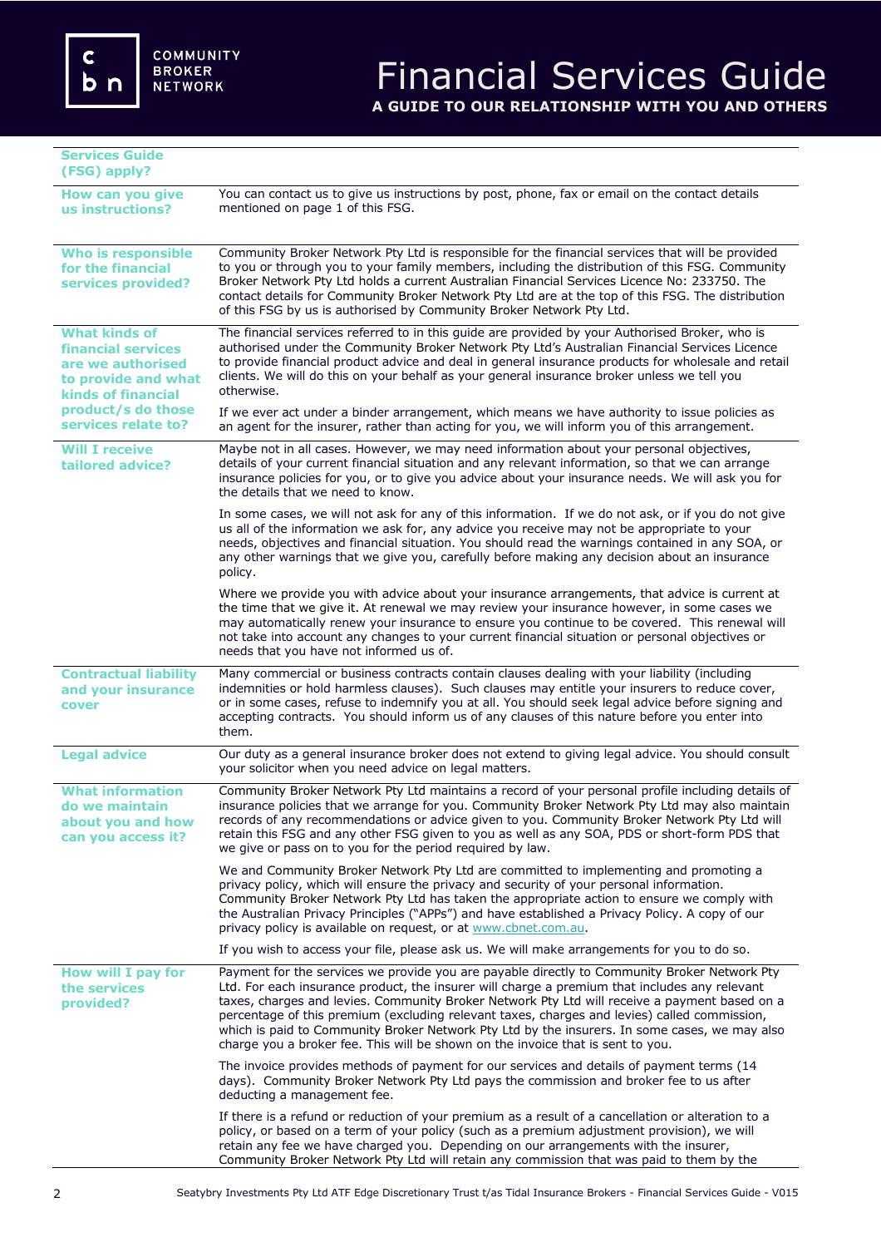| <b>Services Guide</b><br>(FSG) apply?                                                                                                                            |                                                                                                                                                                                                                                                                                                                                                                                                                                                                                                                                                                                    |
|------------------------------------------------------------------------------------------------------------------------------------------------------------------|------------------------------------------------------------------------------------------------------------------------------------------------------------------------------------------------------------------------------------------------------------------------------------------------------------------------------------------------------------------------------------------------------------------------------------------------------------------------------------------------------------------------------------------------------------------------------------|
| How can you give<br>us instructions?                                                                                                                             | You can contact us to give us instructions by post, phone, fax or email on the contact details<br>mentioned on page 1 of this FSG.                                                                                                                                                                                                                                                                                                                                                                                                                                                 |
| <b>Who is responsible</b><br>for the financial<br>services provided?                                                                                             | Community Broker Network Pty Ltd is responsible for the financial services that will be provided<br>to you or through you to your family members, including the distribution of this FSG. Community<br>Broker Network Pty Ltd holds a current Australian Financial Services Licence No: 233750. The<br>contact details for Community Broker Network Pty Ltd are at the top of this FSG. The distribution<br>of this FSG by us is authorised by Community Broker Network Pty Ltd.                                                                                                   |
| <b>What kinds of</b><br>financial services<br>are we authorised<br>to provide and what<br><b>kinds of financial</b><br>product/s do those<br>services relate to? | The financial services referred to in this quide are provided by your Authorised Broker, who is<br>authorised under the Community Broker Network Pty Ltd's Australian Financial Services Licence<br>to provide financial product advice and deal in general insurance products for wholesale and retail<br>clients. We will do this on your behalf as your general insurance broker unless we tell you<br>otherwise.                                                                                                                                                               |
|                                                                                                                                                                  | If we ever act under a binder arrangement, which means we have authority to issue policies as<br>an agent for the insurer, rather than acting for you, we will inform you of this arrangement.                                                                                                                                                                                                                                                                                                                                                                                     |
| <b>Will I receive</b><br>tailored advice?                                                                                                                        | Maybe not in all cases. However, we may need information about your personal objectives,<br>details of your current financial situation and any relevant information, so that we can arrange<br>insurance policies for you, or to give you advice about your insurance needs. We will ask you for<br>the details that we need to know.                                                                                                                                                                                                                                             |
|                                                                                                                                                                  | In some cases, we will not ask for any of this information. If we do not ask, or if you do not give<br>us all of the information we ask for, any advice you receive may not be appropriate to your<br>needs, objectives and financial situation. You should read the warnings contained in any SOA, or<br>any other warnings that we give you, carefully before making any decision about an insurance<br>policy.                                                                                                                                                                  |
|                                                                                                                                                                  | Where we provide you with advice about your insurance arrangements, that advice is current at<br>the time that we give it. At renewal we may review your insurance however, in some cases we<br>may automatically renew your insurance to ensure you continue to be covered. This renewal will<br>not take into account any changes to your current financial situation or personal objectives or<br>needs that you have not informed us of.                                                                                                                                       |
| <b>Contractual liability</b><br>and your insurance<br>cover                                                                                                      | Many commercial or business contracts contain clauses dealing with your liability (including<br>indemnities or hold harmless clauses). Such clauses may entitle your insurers to reduce cover,<br>or in some cases, refuse to indemnify you at all. You should seek legal advice before signing and<br>accepting contracts. You should inform us of any clauses of this nature before you enter into<br>them.                                                                                                                                                                      |
| <b>Legal advice</b>                                                                                                                                              | Our duty as a general insurance broker does not extend to giving legal advice. You should consult<br>your solicitor when you need advice on legal matters.                                                                                                                                                                                                                                                                                                                                                                                                                         |
| <b>What information</b><br>do we maintain<br>about you and how<br>can you access it?                                                                             | Community Broker Network Pty Ltd maintains a record of your personal profile including details of<br>insurance policies that we arrange for you. Community Broker Network Pty Ltd may also maintain<br>records of any recommendations or advice given to you. Community Broker Network Pty Ltd will<br>retain this FSG and any other FSG given to you as well as any SOA, PDS or short-form PDS that<br>we give or pass on to you for the period required by law.                                                                                                                  |
|                                                                                                                                                                  | We and Community Broker Network Pty Ltd are committed to implementing and promoting a<br>privacy policy, which will ensure the privacy and security of your personal information.<br>Community Broker Network Pty Ltd has taken the appropriate action to ensure we comply with<br>the Australian Privacy Principles ("APPs") and have established a Privacy Policy. A copy of our<br>privacy policy is available on request, or at www.cbnet.com.au.                                                                                                                              |
|                                                                                                                                                                  | If you wish to access your file, please ask us. We will make arrangements for you to do so.                                                                                                                                                                                                                                                                                                                                                                                                                                                                                        |
| <b>How will I pay for</b><br>the services<br>provided?                                                                                                           | Payment for the services we provide you are payable directly to Community Broker Network Pty<br>Ltd. For each insurance product, the insurer will charge a premium that includes any relevant<br>taxes, charges and levies. Community Broker Network Pty Ltd will receive a payment based on a<br>percentage of this premium (excluding relevant taxes, charges and levies) called commission,<br>which is paid to Community Broker Network Pty Ltd by the insurers. In some cases, we may also<br>charge you a broker fee. This will be shown on the invoice that is sent to you. |
|                                                                                                                                                                  | The invoice provides methods of payment for our services and details of payment terms (14<br>days). Community Broker Network Pty Ltd pays the commission and broker fee to us after<br>deducting a management fee.                                                                                                                                                                                                                                                                                                                                                                 |
|                                                                                                                                                                  | If there is a refund or reduction of your premium as a result of a cancellation or alteration to a<br>policy, or based on a term of your policy (such as a premium adjustment provision), we will<br>retain any fee we have charged you. Depending on our arrangements with the insurer,<br>Community Broker Network Pty Ltd will retain any commission that was paid to them by the                                                                                                                                                                                               |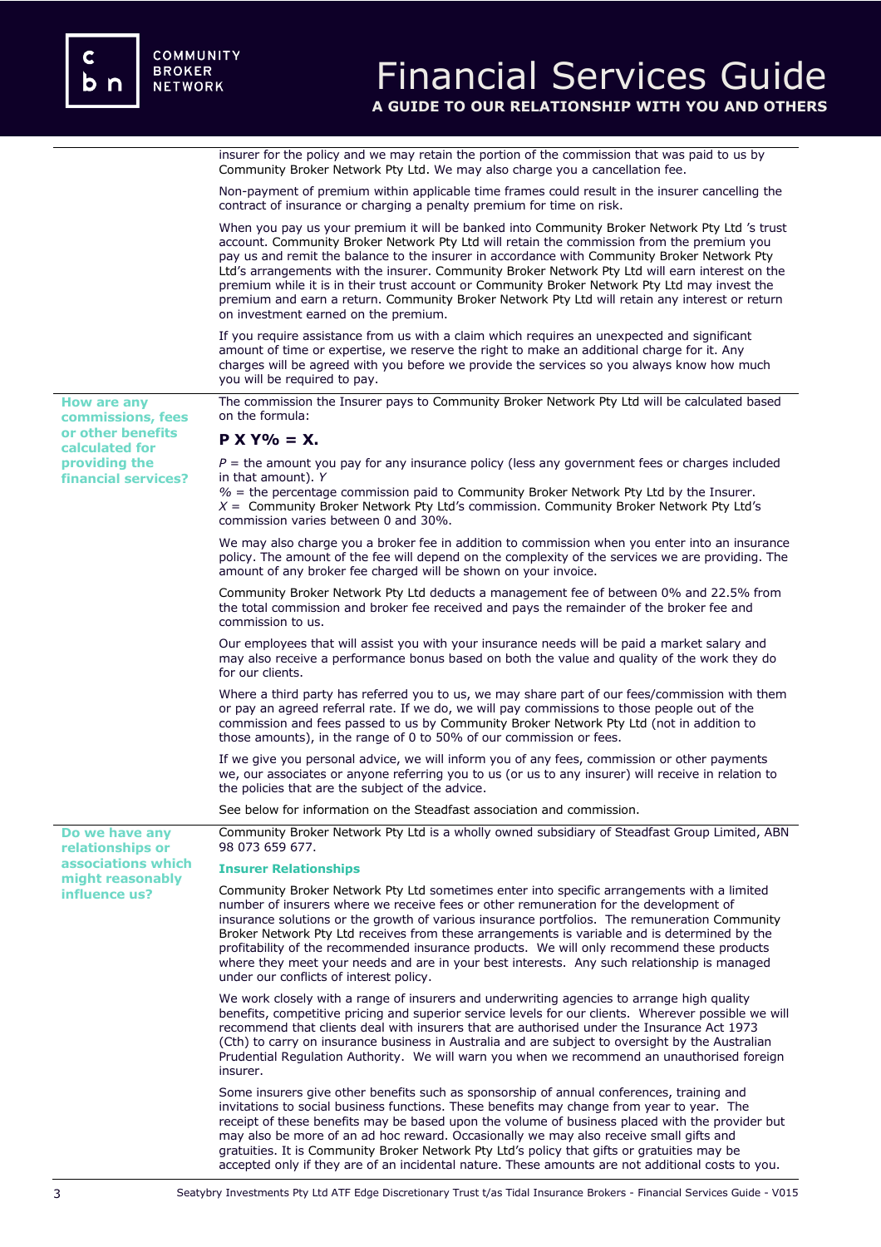|                                                                                               | insurer for the policy and we may retain the portion of the commission that was paid to us by<br>Community Broker Network Pty Ltd. We may also charge you a cancellation fee.                                                                                                                                                                                                                                                                                                                                                                                                                                                           |
|-----------------------------------------------------------------------------------------------|-----------------------------------------------------------------------------------------------------------------------------------------------------------------------------------------------------------------------------------------------------------------------------------------------------------------------------------------------------------------------------------------------------------------------------------------------------------------------------------------------------------------------------------------------------------------------------------------------------------------------------------------|
|                                                                                               | Non-payment of premium within applicable time frames could result in the insurer cancelling the<br>contract of insurance or charging a penalty premium for time on risk.                                                                                                                                                                                                                                                                                                                                                                                                                                                                |
|                                                                                               | When you pay us your premium it will be banked into Community Broker Network Pty Ltd 's trust<br>account. Community Broker Network Pty Ltd will retain the commission from the premium you<br>pay us and remit the balance to the insurer in accordance with Community Broker Network Pty<br>Ltd's arrangements with the insurer. Community Broker Network Pty Ltd will earn interest on the<br>premium while it is in their trust account or Community Broker Network Pty Ltd may invest the<br>premium and earn a return. Community Broker Network Pty Ltd will retain any interest or return<br>on investment earned on the premium. |
|                                                                                               | If you require assistance from us with a claim which requires an unexpected and significant<br>amount of time or expertise, we reserve the right to make an additional charge for it. Any<br>charges will be agreed with you before we provide the services so you always know how much<br>you will be required to pay.                                                                                                                                                                                                                                                                                                                 |
| <b>How are any</b><br>commissions, fees                                                       | The commission the Insurer pays to Community Broker Network Pty Ltd will be calculated based<br>on the formula:                                                                                                                                                                                                                                                                                                                                                                                                                                                                                                                         |
| or other benefits<br>calculated for<br>providing the<br>financial services?                   | $P X Y\% = X.$                                                                                                                                                                                                                                                                                                                                                                                                                                                                                                                                                                                                                          |
|                                                                                               | $P =$ the amount you pay for any insurance policy (less any government fees or charges included<br>in that amount). Y<br>$%$ = the percentage commission paid to Community Broker Network Pty Ltd by the Insurer.<br>$X =$ Community Broker Network Pty Ltd's commission. Community Broker Network Pty Ltd's<br>commission varies between 0 and 30%.                                                                                                                                                                                                                                                                                    |
|                                                                                               | We may also charge you a broker fee in addition to commission when you enter into an insurance<br>policy. The amount of the fee will depend on the complexity of the services we are providing. The<br>amount of any broker fee charged will be shown on your invoice.                                                                                                                                                                                                                                                                                                                                                                  |
|                                                                                               | Community Broker Network Pty Ltd deducts a management fee of between 0% and 22.5% from<br>the total commission and broker fee received and pays the remainder of the broker fee and<br>commission to us.                                                                                                                                                                                                                                                                                                                                                                                                                                |
|                                                                                               | Our employees that will assist you with your insurance needs will be paid a market salary and<br>may also receive a performance bonus based on both the value and quality of the work they do<br>for our clients.                                                                                                                                                                                                                                                                                                                                                                                                                       |
|                                                                                               | Where a third party has referred you to us, we may share part of our fees/commission with them<br>or pay an agreed referral rate. If we do, we will pay commissions to those people out of the<br>commission and fees passed to us by Community Broker Network Pty Ltd (not in addition to<br>those amounts), in the range of 0 to 50% of our commission or fees.                                                                                                                                                                                                                                                                       |
|                                                                                               | If we give you personal advice, we will inform you of any fees, commission or other payments<br>we, our associates or anyone referring you to us (or us to any insurer) will receive in relation to<br>the policies that are the subject of the advice.                                                                                                                                                                                                                                                                                                                                                                                 |
|                                                                                               | See below for information on the Steadfast association and commission.                                                                                                                                                                                                                                                                                                                                                                                                                                                                                                                                                                  |
| Do we have any<br>relationships or<br>associations which<br>might reasonably<br>influence us? | Community Broker Network Pty Ltd is a wholly owned subsidiary of Steadfast Group Limited, ABN<br>98 073 659 677.                                                                                                                                                                                                                                                                                                                                                                                                                                                                                                                        |
|                                                                                               | <b>Insurer Relationships</b>                                                                                                                                                                                                                                                                                                                                                                                                                                                                                                                                                                                                            |
|                                                                                               | Community Broker Network Pty Ltd sometimes enter into specific arrangements with a limited<br>number of insurers where we receive fees or other remuneration for the development of<br>insurance solutions or the growth of various insurance portfolios. The remuneration Community<br>Broker Network Pty Ltd receives from these arrangements is variable and is determined by the<br>profitability of the recommended insurance products. We will only recommend these products<br>where they meet your needs and are in your best interests. Any such relationship is managed<br>under our conflicts of interest policy.            |
|                                                                                               | We work closely with a range of insurers and underwriting agencies to arrange high quality<br>benefits, competitive pricing and superior service levels for our clients. Wherever possible we will<br>recommend that clients deal with insurers that are authorised under the Insurance Act 1973<br>(Cth) to carry on insurance business in Australia and are subject to oversight by the Australian<br>Prudential Regulation Authority. We will warn you when we recommend an unauthorised foreign<br>insurer.                                                                                                                         |
|                                                                                               | Some insurers give other benefits such as sponsorship of annual conferences, training and<br>invitations to social business functions. These benefits may change from year to year. The<br>receipt of these benefits may be based upon the volume of business placed with the provider but<br>may also be more of an ad hoc reward. Occasionally we may also receive small gifts and<br>gratuities. It is Community Broker Network Pty Ltd's policy that gifts or gratuities may be<br>accepted only if they are of an incidental nature. These amounts are not additional costs to you.                                                |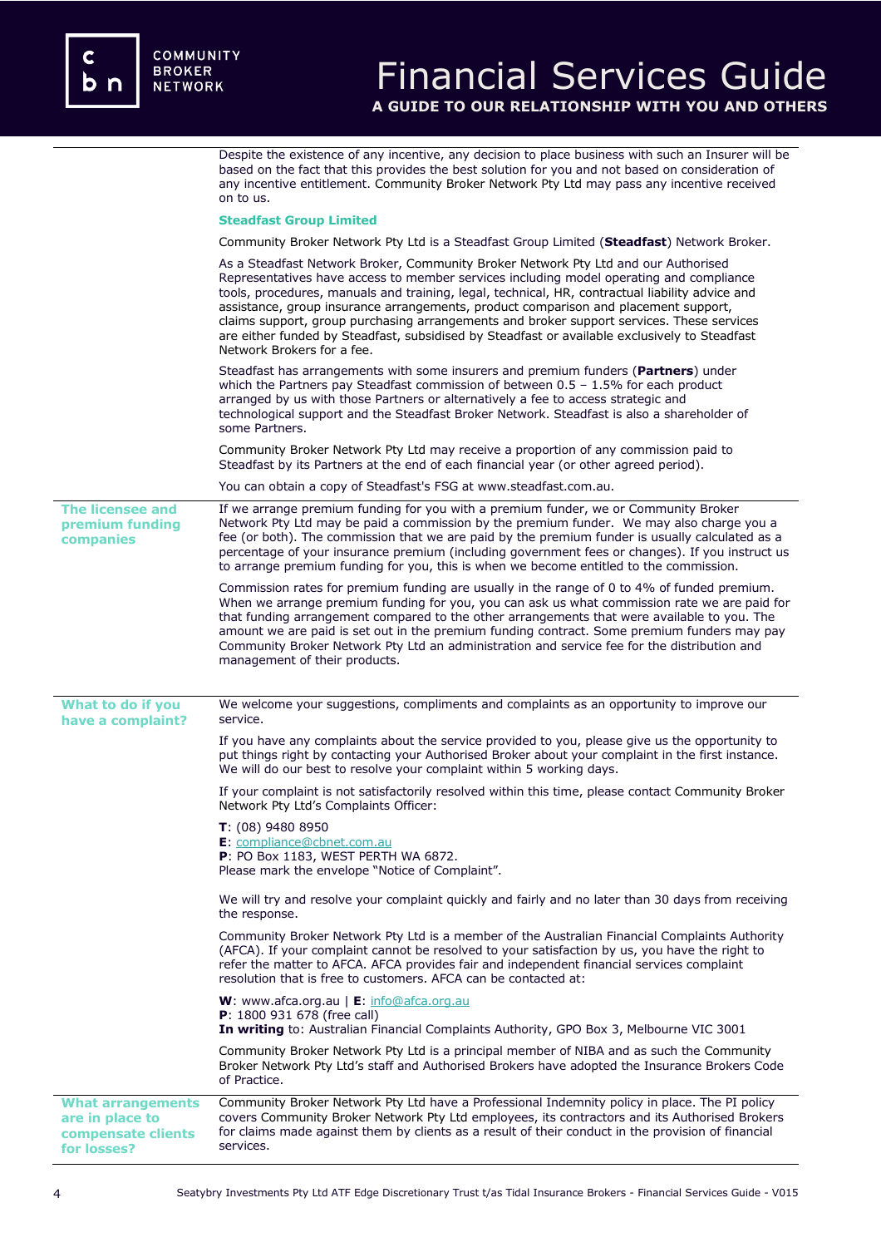# Financial Services Guide **A GUIDE TO OUR RELATIONSHIP WITH YOU AND OTHERS**

|                                                                                  | Despite the existence of any incentive, any decision to place business with such an Insurer will be<br>based on the fact that this provides the best solution for you and not based on consideration of<br>any incentive entitlement. Community Broker Network Pty Ltd may pass any incentive received<br>on to us.                                                                                                                                                                                                                                                                                 |
|----------------------------------------------------------------------------------|-----------------------------------------------------------------------------------------------------------------------------------------------------------------------------------------------------------------------------------------------------------------------------------------------------------------------------------------------------------------------------------------------------------------------------------------------------------------------------------------------------------------------------------------------------------------------------------------------------|
|                                                                                  | <b>Steadfast Group Limited</b>                                                                                                                                                                                                                                                                                                                                                                                                                                                                                                                                                                      |
|                                                                                  | Community Broker Network Pty Ltd is a Steadfast Group Limited (Steadfast) Network Broker.                                                                                                                                                                                                                                                                                                                                                                                                                                                                                                           |
|                                                                                  | As a Steadfast Network Broker, Community Broker Network Pty Ltd and our Authorised<br>Representatives have access to member services including model operating and compliance<br>tools, procedures, manuals and training, legal, technical, HR, contractual liability advice and<br>assistance, group insurance arrangements, product comparison and placement support,<br>claims support, group purchasing arrangements and broker support services. These services<br>are either funded by Steadfast, subsidised by Steadfast or available exclusively to Steadfast<br>Network Brokers for a fee. |
|                                                                                  | Steadfast has arrangements with some insurers and premium funders (Partners) under<br>which the Partners pay Steadfast commission of between $0.5 - 1.5\%$ for each product<br>arranged by us with those Partners or alternatively a fee to access strategic and<br>technological support and the Steadfast Broker Network. Steadfast is also a shareholder of<br>some Partners.                                                                                                                                                                                                                    |
|                                                                                  | Community Broker Network Pty Ltd may receive a proportion of any commission paid to<br>Steadfast by its Partners at the end of each financial year (or other agreed period).                                                                                                                                                                                                                                                                                                                                                                                                                        |
|                                                                                  | You can obtain a copy of Steadfast's FSG at www.steadfast.com.au.                                                                                                                                                                                                                                                                                                                                                                                                                                                                                                                                   |
| <b>The licensee and</b><br>premium funding<br>companies                          | If we arrange premium funding for you with a premium funder, we or Community Broker<br>Network Pty Ltd may be paid a commission by the premium funder. We may also charge you a<br>fee (or both). The commission that we are paid by the premium funder is usually calculated as a<br>percentage of your insurance premium (including government fees or changes). If you instruct us<br>to arrange premium funding for you, this is when we become entitled to the commission.                                                                                                                     |
|                                                                                  | Commission rates for premium funding are usually in the range of 0 to 4% of funded premium.<br>When we arrange premium funding for you, you can ask us what commission rate we are paid for<br>that funding arrangement compared to the other arrangements that were available to you. The<br>amount we are paid is set out in the premium funding contract. Some premium funders may pay<br>Community Broker Network Pty Ltd an administration and service fee for the distribution and<br>management of their products.                                                                           |
| What to do if you<br>have a complaint?                                           | We welcome your suggestions, compliments and complaints as an opportunity to improve our<br>service.                                                                                                                                                                                                                                                                                                                                                                                                                                                                                                |
|                                                                                  | If you have any complaints about the service provided to you, please give us the opportunity to<br>put things right by contacting your Authorised Broker about your complaint in the first instance.<br>We will do our best to resolve your complaint within 5 working days.                                                                                                                                                                                                                                                                                                                        |
|                                                                                  | If your complaint is not satisfactorily resolved within this time, please contact Community Broker<br>Network Pty Ltd's Complaints Officer:                                                                                                                                                                                                                                                                                                                                                                                                                                                         |
|                                                                                  | <b>T</b> : (08) 9480 8950<br>E: compliance@cbnet.com.au<br><b>P</b> : PO Box 1183, WEST PERTH WA 6872.<br>Please mark the envelope "Notice of Complaint".                                                                                                                                                                                                                                                                                                                                                                                                                                           |
|                                                                                  | We will try and resolve your complaint quickly and fairly and no later than 30 days from receiving<br>the response.                                                                                                                                                                                                                                                                                                                                                                                                                                                                                 |
|                                                                                  | Community Broker Network Pty Ltd is a member of the Australian Financial Complaints Authority<br>(AFCA). If your complaint cannot be resolved to your satisfaction by us, you have the right to<br>refer the matter to AFCA. AFCA provides fair and independent financial services complaint<br>resolution that is free to customers. AFCA can be contacted at:                                                                                                                                                                                                                                     |
|                                                                                  | W: www.afca.org.au   E: info@afca.org.au<br><b>P</b> : 1800 931 678 (free call)<br>In writing to: Australian Financial Complaints Authority, GPO Box 3, Melbourne VIC 3001                                                                                                                                                                                                                                                                                                                                                                                                                          |
|                                                                                  | Community Broker Network Pty Ltd is a principal member of NIBA and as such the Community<br>Broker Network Pty Ltd's staff and Authorised Brokers have adopted the Insurance Brokers Code<br>of Practice.                                                                                                                                                                                                                                                                                                                                                                                           |
| <b>What arrangements</b><br>are in place to<br>compensate clients<br>for losses? | Community Broker Network Pty Ltd have a Professional Indemnity policy in place. The PI policy<br>covers Community Broker Network Pty Ltd employees, its contractors and its Authorised Brokers<br>for claims made against them by clients as a result of their conduct in the provision of financial<br>services.                                                                                                                                                                                                                                                                                   |